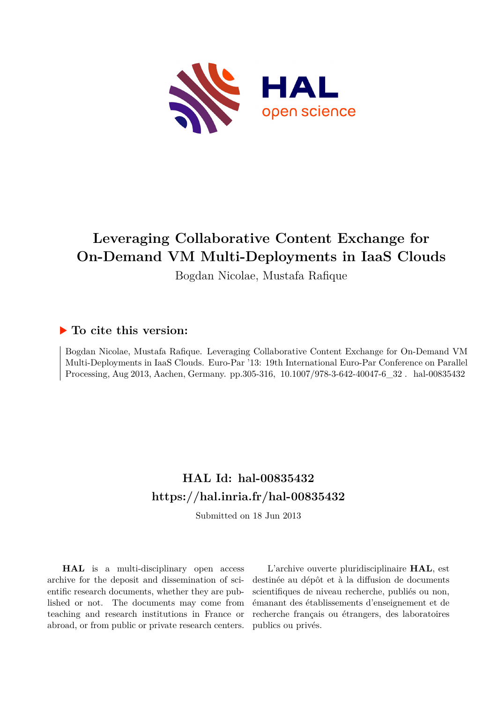

# **Leveraging Collaborative Content Exchange for On-Demand VM Multi-Deployments in IaaS Clouds**

Bogdan Nicolae, Mustafa Rafique

# **To cite this version:**

Bogdan Nicolae, Mustafa Rafique. Leveraging Collaborative Content Exchange for On-Demand VM Multi-Deployments in IaaS Clouds. Euro-Par '13: 19th International Euro-Par Conference on Parallel Processing, Aug 2013, Aachen, Germany. pp.305-316, 10.1007/978-3-642-40047-6\_32. hal-00835432

# **HAL Id: hal-00835432 <https://hal.inria.fr/hal-00835432>**

Submitted on 18 Jun 2013

**HAL** is a multi-disciplinary open access archive for the deposit and dissemination of scientific research documents, whether they are published or not. The documents may come from teaching and research institutions in France or abroad, or from public or private research centers.

L'archive ouverte pluridisciplinaire **HAL**, est destinée au dépôt et à la diffusion de documents scientifiques de niveau recherche, publiés ou non, émanant des établissements d'enseignement et de recherche français ou étrangers, des laboratoires publics ou privés.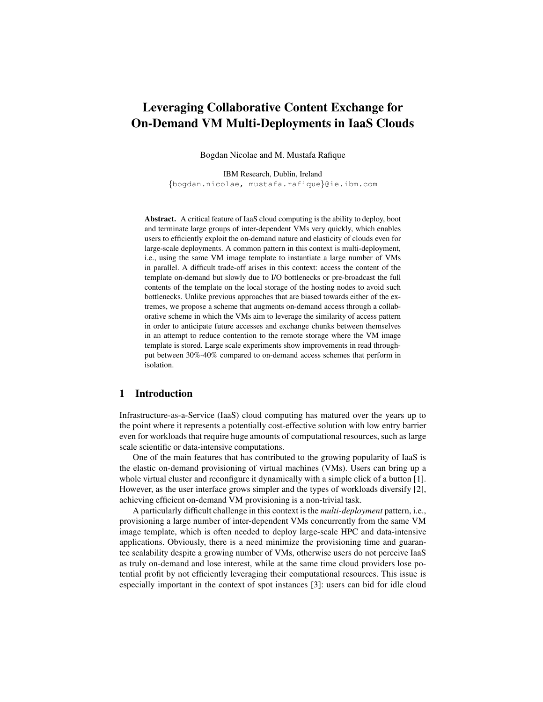# Leveraging Collaborative Content Exchange for On-Demand VM Multi-Deployments in IaaS Clouds

Bogdan Nicolae and M. Mustafa Rafique

IBM Research, Dublin, Ireland {bogdan.nicolae, mustafa.rafique}@ie.ibm.com

Abstract. A critical feature of IaaS cloud computing is the ability to deploy, boot and terminate large groups of inter-dependent VMs very quickly, which enables users to efficiently exploit the on-demand nature and elasticity of clouds even for large-scale deployments. A common pattern in this context is multi-deployment, i.e., using the same VM image template to instantiate a large number of VMs in parallel. A difficult trade-off arises in this context: access the content of the template on-demand but slowly due to I/O bottlenecks or pre-broadcast the full contents of the template on the local storage of the hosting nodes to avoid such bottlenecks. Unlike previous approaches that are biased towards either of the extremes, we propose a scheme that augments on-demand access through a collaborative scheme in which the VMs aim to leverage the similarity of access pattern in order to anticipate future accesses and exchange chunks between themselves in an attempt to reduce contention to the remote storage where the VM image template is stored. Large scale experiments show improvements in read throughput between 30%-40% compared to on-demand access schemes that perform in isolation.

# 1 Introduction

Infrastructure-as-a-Service (IaaS) cloud computing has matured over the years up to the point where it represents a potentially cost-effective solution with low entry barrier even for workloads that require huge amounts of computational resources, such as large scale scientific or data-intensive computations.

One of the main features that has contributed to the growing popularity of IaaS is the elastic on-demand provisioning of virtual machines (VMs). Users can bring up a whole virtual cluster and reconfigure it dynamically with a simple click of a button [1]. However, as the user interface grows simpler and the types of workloads diversify [2], achieving efficient on-demand VM provisioning is a non-trivial task.

A particularly difficult challenge in this context is the *multi-deployment* pattern, i.e., provisioning a large number of inter-dependent VMs concurrently from the same VM image template, which is often needed to deploy large-scale HPC and data-intensive applications. Obviously, there is a need minimize the provisioning time and guarantee scalability despite a growing number of VMs, otherwise users do not perceive IaaS as truly on-demand and lose interest, while at the same time cloud providers lose potential profit by not efficiently leveraging their computational resources. This issue is especially important in the context of spot instances [3]: users can bid for idle cloud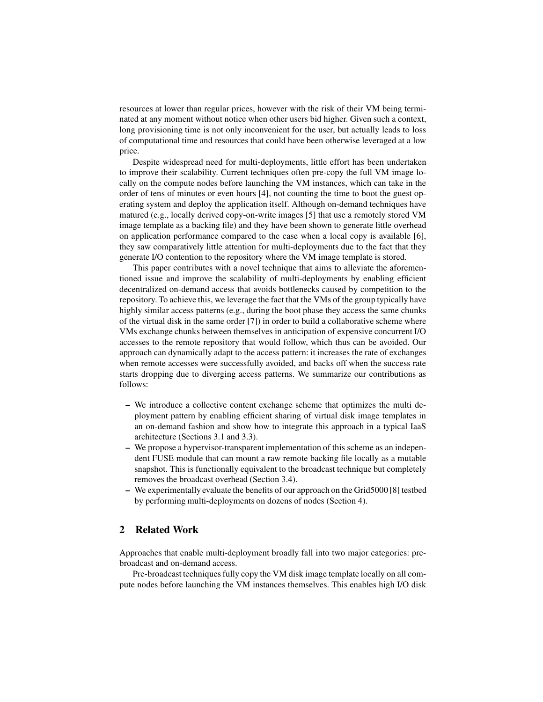resources at lower than regular prices, however with the risk of their VM being terminated at any moment without notice when other users bid higher. Given such a context, long provisioning time is not only inconvenient for the user, but actually leads to loss of computational time and resources that could have been otherwise leveraged at a low price.

Despite widespread need for multi-deployments, little effort has been undertaken to improve their scalability. Current techniques often pre-copy the full VM image locally on the compute nodes before launching the VM instances, which can take in the order of tens of minutes or even hours [4], not counting the time to boot the guest operating system and deploy the application itself. Although on-demand techniques have matured (e.g., locally derived copy-on-write images [5] that use a remotely stored VM image template as a backing file) and they have been shown to generate little overhead on application performance compared to the case when a local copy is available [6], they saw comparatively little attention for multi-deployments due to the fact that they generate I/O contention to the repository where the VM image template is stored.

This paper contributes with a novel technique that aims to alleviate the aforementioned issue and improve the scalability of multi-deployments by enabling efficient decentralized on-demand access that avoids bottlenecks caused by competition to the repository. To achieve this, we leverage the fact that the VMs of the group typically have highly similar access patterns (e.g., during the boot phase they access the same chunks of the virtual disk in the same order [7]) in order to build a collaborative scheme where VMs exchange chunks between themselves in anticipation of expensive concurrent I/O accesses to the remote repository that would follow, which thus can be avoided. Our approach can dynamically adapt to the access pattern: it increases the rate of exchanges when remote accesses were successfully avoided, and backs off when the success rate starts dropping due to diverging access patterns. We summarize our contributions as follows:

- We introduce a collective content exchange scheme that optimizes the multi deployment pattern by enabling efficient sharing of virtual disk image templates in an on-demand fashion and show how to integrate this approach in a typical IaaS architecture (Sections 3.1 and 3.3).
- We propose a hypervisor-transparent implementation of this scheme as an independent FUSE module that can mount a raw remote backing file locally as a mutable snapshot. This is functionally equivalent to the broadcast technique but completely removes the broadcast overhead (Section 3.4).
- We experimentally evaluate the benefits of our approach on the Grid5000 [8] testbed by performing multi-deployments on dozens of nodes (Section 4).

## 2 Related Work

Approaches that enable multi-deployment broadly fall into two major categories: prebroadcast and on-demand access.

Pre-broadcast techniques fully copy the VM disk image template locally on all compute nodes before launching the VM instances themselves. This enables high I/O disk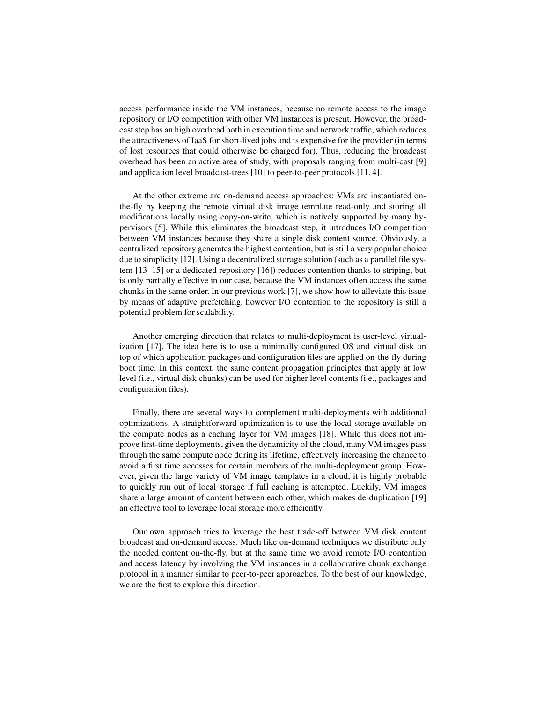access performance inside the VM instances, because no remote access to the image repository or I/O competition with other VM instances is present. However, the broadcast step has an high overhead both in execution time and network traffic, which reduces the attractiveness of IaaS for short-lived jobs and is expensive for the provider (in terms of lost resources that could otherwise be charged for). Thus, reducing the broadcast overhead has been an active area of study, with proposals ranging from multi-cast [9] and application level broadcast-trees [10] to peer-to-peer protocols [11, 4].

At the other extreme are on-demand access approaches: VMs are instantiated onthe-fly by keeping the remote virtual disk image template read-only and storing all modifications locally using copy-on-write, which is natively supported by many hypervisors [5]. While this eliminates the broadcast step, it introduces I/O competition between VM instances because they share a single disk content source. Obviously, a centralized repository generates the highest contention, but is still a very popular choice due to simplicity [12]. Using a decentralized storage solution (such as a parallel file system [13–15] or a dedicated repository [16]) reduces contention thanks to striping, but is only partially effective in our case, because the VM instances often access the same chunks in the same order. In our previous work [7], we show how to alleviate this issue by means of adaptive prefetching, however I/O contention to the repository is still a potential problem for scalability.

Another emerging direction that relates to multi-deployment is user-level virtualization [17]. The idea here is to use a minimally configured OS and virtual disk on top of which application packages and configuration files are applied on-the-fly during boot time. In this context, the same content propagation principles that apply at low level (i.e., virtual disk chunks) can be used for higher level contents (i.e., packages and configuration files).

Finally, there are several ways to complement multi-deployments with additional optimizations. A straightforward optimization is to use the local storage available on the compute nodes as a caching layer for VM images [18]. While this does not improve first-time deployments, given the dynamicity of the cloud, many VM images pass through the same compute node during its lifetime, effectively increasing the chance to avoid a first time accesses for certain members of the multi-deployment group. However, given the large variety of VM image templates in a cloud, it is highly probable to quickly run out of local storage if full caching is attempted. Luckily, VM images share a large amount of content between each other, which makes de-duplication [19] an effective tool to leverage local storage more efficiently.

Our own approach tries to leverage the best trade-off between VM disk content broadcast and on-demand access. Much like on-demand techniques we distribute only the needed content on-the-fly, but at the same time we avoid remote I/O contention and access latency by involving the VM instances in a collaborative chunk exchange protocol in a manner similar to peer-to-peer approaches. To the best of our knowledge, we are the first to explore this direction.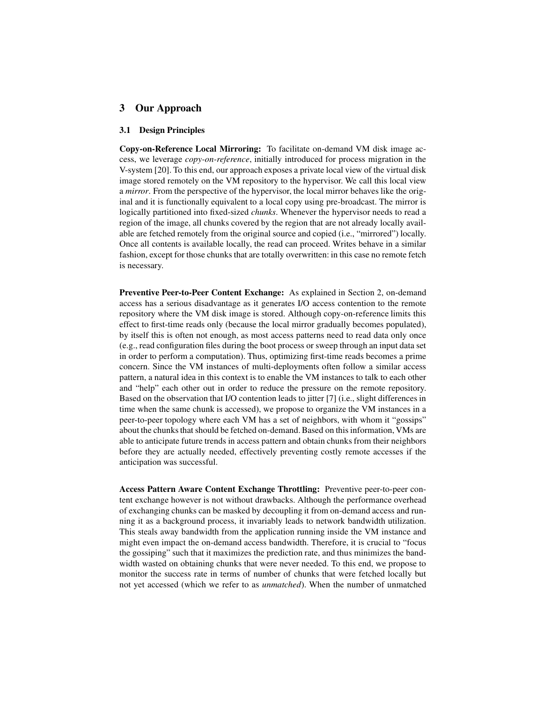## 3 Our Approach

#### 3.1 Design Principles

Copy-on-Reference Local Mirroring: To facilitate on-demand VM disk image access, we leverage *copy-on-reference*, initially introduced for process migration in the V-system [20]. To this end, our approach exposes a private local view of the virtual disk image stored remotely on the VM repository to the hypervisor. We call this local view a *mirror*. From the perspective of the hypervisor, the local mirror behaves like the original and it is functionally equivalent to a local copy using pre-broadcast. The mirror is logically partitioned into fixed-sized *chunks*. Whenever the hypervisor needs to read a region of the image, all chunks covered by the region that are not already locally available are fetched remotely from the original source and copied (i.e., "mirrored") locally. Once all contents is available locally, the read can proceed. Writes behave in a similar fashion, except for those chunks that are totally overwritten: in this case no remote fetch is necessary.

Preventive Peer-to-Peer Content Exchange: As explained in Section 2, on-demand access has a serious disadvantage as it generates I/O access contention to the remote repository where the VM disk image is stored. Although copy-on-reference limits this effect to first-time reads only (because the local mirror gradually becomes populated), by itself this is often not enough, as most access patterns need to read data only once (e.g., read configuration files during the boot process or sweep through an input data set in order to perform a computation). Thus, optimizing first-time reads becomes a prime concern. Since the VM instances of multi-deployments often follow a similar access pattern, a natural idea in this context is to enable the VM instances to talk to each other and "help" each other out in order to reduce the pressure on the remote repository. Based on the observation that I/O contention leads to jitter [7] (i.e., slight differences in time when the same chunk is accessed), we propose to organize the VM instances in a peer-to-peer topology where each VM has a set of neighbors, with whom it "gossips" about the chunks that should be fetched on-demand. Based on this information, VMs are able to anticipate future trends in access pattern and obtain chunks from their neighbors before they are actually needed, effectively preventing costly remote accesses if the anticipation was successful.

Access Pattern Aware Content Exchange Throttling: Preventive peer-to-peer content exchange however is not without drawbacks. Although the performance overhead of exchanging chunks can be masked by decoupling it from on-demand access and running it as a background process, it invariably leads to network bandwidth utilization. This steals away bandwidth from the application running inside the VM instance and might even impact the on-demand access bandwidth. Therefore, it is crucial to "focus the gossiping" such that it maximizes the prediction rate, and thus minimizes the bandwidth wasted on obtaining chunks that were never needed. To this end, we propose to monitor the success rate in terms of number of chunks that were fetched locally but not yet accessed (which we refer to as *unmatched*). When the number of unmatched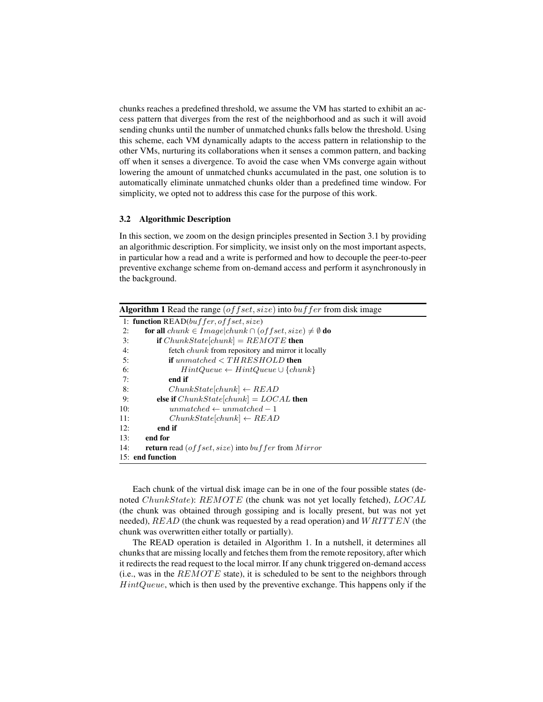chunks reaches a predefined threshold, we assume the VM has started to exhibit an access pattern that diverges from the rest of the neighborhood and as such it will avoid sending chunks until the number of unmatched chunks falls below the threshold. Using this scheme, each VM dynamically adapts to the access pattern in relationship to the other VMs, nurturing its collaborations when it senses a common pattern, and backing off when it senses a divergence. To avoid the case when VMs converge again without lowering the amount of unmatched chunks accumulated in the past, one solution is to automatically eliminate unmatched chunks older than a predefined time window. For simplicity, we opted not to address this case for the purpose of this work.

#### 3.2 Algorithmic Description

In this section, we zoom on the design principles presented in Section 3.1 by providing an algorithmic description. For simplicity, we insist only on the most important aspects, in particular how a read and a write is performed and how to decouple the peer-to-peer preventive exchange scheme from on-demand access and perform it asynchronously in the background.

| <b>Algorithm 1</b> Read the range (of f set, size) into buffer from disk image                      |
|-----------------------------------------------------------------------------------------------------|
| 1: function $\text{READ}(buffer, offset, size)$                                                     |
| for all $chunk \in Image chunk \cap (offset, size) \neq \emptyset$ do<br>2:                         |
| <b>if</b> $ChunkState[chunk] = REMOTE$ then<br>3:                                                   |
| fetch <i>chunk</i> from repository and mirror it locally<br>4:                                      |
| <b>if</b> unmatched $\langle THRESHOLD$ then<br>5:                                                  |
| $HintQueue \leftarrow HintQueue \cup \{chunk\}$<br>6:                                               |
| 7:<br>end if                                                                                        |
| 8:<br>$ChunkState chunk \leftarrow READ$                                                            |
| else if $ChunkState[chunk] = LOCAL$ then<br>9:                                                      |
| unmatched $\leftarrow$ unmatched $-1$<br>10:                                                        |
| $ChunkState[chunk] \leftarrow READ$<br>11:                                                          |
| end if<br>12:                                                                                       |
| end for<br>13:                                                                                      |
| <b>return</b> read ( <i>of f set</i> , <i>size</i> ) into <i>buf f er</i> from <i>Mirror</i><br>14: |
| 15: end function                                                                                    |

Each chunk of the virtual disk image can be in one of the four possible states (denoted ChunkState):  $REMOTE$  (the chunk was not yet locally fetched),  $LOCAL$ (the chunk was obtained through gossiping and is locally present, but was not yet needed),  $READ$  (the chunk was requested by a read operation) and  $WRITTEN$  (the chunk was overwritten either totally or partially).

The READ operation is detailed in Algorithm 1. In a nutshell, it determines all chunks that are missing locally and fetches them from the remote repository, after which it redirects the read request to the local mirror. If any chunk triggered on-demand access (i.e., was in the  $REMOTE$  state), it is scheduled to be sent to the neighbors through HintQueue, which is then used by the preventive exchange. This happens only if the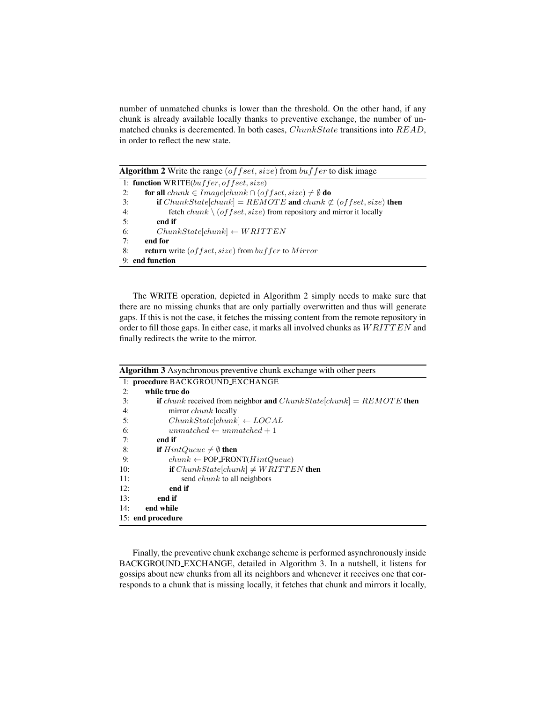number of unmatched chunks is lower than the threshold. On the other hand, if any chunk is already available locally thanks to preventive exchange, the number of unmatched chunks is decremented. In both cases, ChunkState transitions into READ, in order to reflect the new state.

Algorithm 2 Write the range  $(offset, size)$  from  $buffer$  to disk image

| 1: function $WRITE(buffer, offset, size)$                                               |  |  |
|-----------------------------------------------------------------------------------------|--|--|
| for all $chunk \in Image chunk \cap (offset, size) \neq \emptyset$ do<br>2:             |  |  |
| <b>if</b> $ChunkState[chunk] = REMOTE$ and $chunk \nsubseteq (offset, size)$ then<br>3: |  |  |
| fetch $chunk \setminus (offset, size)$ from repository and mirror it locally<br>4:      |  |  |
| 5:<br>end if                                                                            |  |  |
| $ChunkState[chunk] \leftarrow WRITTEN$<br>6:                                            |  |  |
| 7:<br>end for                                                                           |  |  |
| <b>return</b> write (of fset, size) from buffer to Mirror<br>8:                         |  |  |
| 9: end function                                                                         |  |  |

The WRITE operation, depicted in Algorithm 2 simply needs to make sure that there are no missing chunks that are only partially overwritten and thus will generate gaps. If this is not the case, it fetches the missing content from the remote repository in order to fill those gaps. In either case, it marks all involved chunks as  $WRITTEN$  and finally redirects the write to the mirror.

Algorithm 3 Asynchronous preventive chunk exchange with other peers

|     | 1: procedure BACKGROUND EXCHANGE                                             |
|-----|------------------------------------------------------------------------------|
| 2:  | while true do                                                                |
| 3:  | <b>if</b> chunk received from neighbor and $ChunkState[chunk] = REMOTE$ then |
| 4:  | mirror <i>chunk</i> locally                                                  |
| 5:  | $ChunkState[chunk] \leftarrow LOCAL$                                         |
| 6:  | unmatched $\leftarrow$ unmatched + 1                                         |
| 7:  | end if                                                                       |
| 8:  | <b>if</b> $HintQueue \neq \emptyset$ then                                    |
| 9:  | $chunk \leftarrow POP \text{FRONT}(HintQueue)$                               |
| 10: | <b>if</b> $ChunkState[chunk] \neq WRITTEN$ then                              |
| 11: | send <i>chunk</i> to all neighbors                                           |
| 12: | end if                                                                       |
| 13: | end if                                                                       |
| 14: | end while                                                                    |
|     | 15: end procedure                                                            |

Finally, the preventive chunk exchange scheme is performed asynchronously inside BACKGROUND EXCHANGE, detailed in Algorithm 3. In a nutshell, it listens for gossips about new chunks from all its neighbors and whenever it receives one that corresponds to a chunk that is missing locally, it fetches that chunk and mirrors it locally,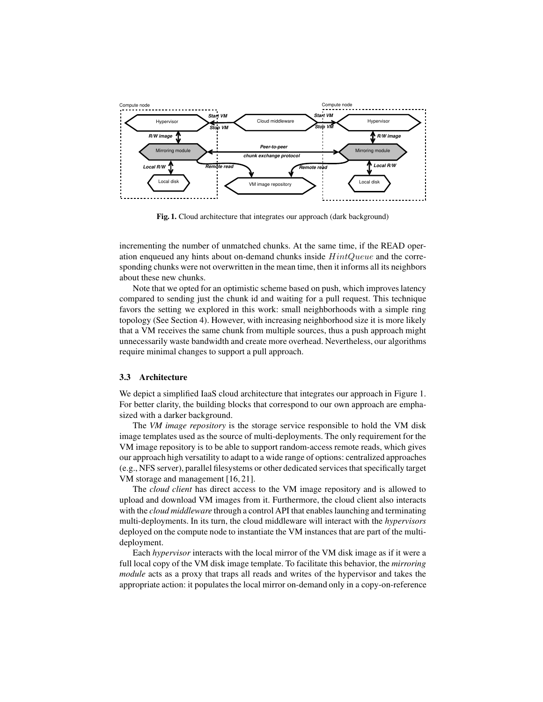

Fig. 1. Cloud architecture that integrates our approach (dark background)

incrementing the number of unmatched chunks. At the same time, if the READ operation enqueued any hints about on-demand chunks inside  $HintQueue$  and the corresponding chunks were not overwritten in the mean time, then it informs all its neighbors about these new chunks.

Note that we opted for an optimistic scheme based on push, which improves latency compared to sending just the chunk id and waiting for a pull request. This technique favors the setting we explored in this work: small neighborhoods with a simple ring topology (See Section 4). However, with increasing neighborhood size it is more likely that a VM receives the same chunk from multiple sources, thus a push approach might unnecessarily waste bandwidth and create more overhead. Nevertheless, our algorithms require minimal changes to support a pull approach.

#### 3.3 Architecture

We depict a simplified IaaS cloud architecture that integrates our approach in Figure 1. For better clarity, the building blocks that correspond to our own approach are emphasized with a darker background.

The *VM image repository* is the storage service responsible to hold the VM disk image templates used as the source of multi-deployments. The only requirement for the VM image repository is to be able to support random-access remote reads, which gives our approach high versatility to adapt to a wide range of options: centralized approaches (e.g., NFS server), parallel filesystems or other dedicated services that specifically target VM storage and management [16, 21].

The *cloud client* has direct access to the VM image repository and is allowed to upload and download VM images from it. Furthermore, the cloud client also interacts with the *cloud middleware* through a control API that enables launching and terminating multi-deployments. In its turn, the cloud middleware will interact with the *hypervisors* deployed on the compute node to instantiate the VM instances that are part of the multideployment.

Each *hypervisor* interacts with the local mirror of the VM disk image as if it were a full local copy of the VM disk image template. To facilitate this behavior, the *mirroring module* acts as a proxy that traps all reads and writes of the hypervisor and takes the appropriate action: it populates the local mirror on-demand only in a copy-on-reference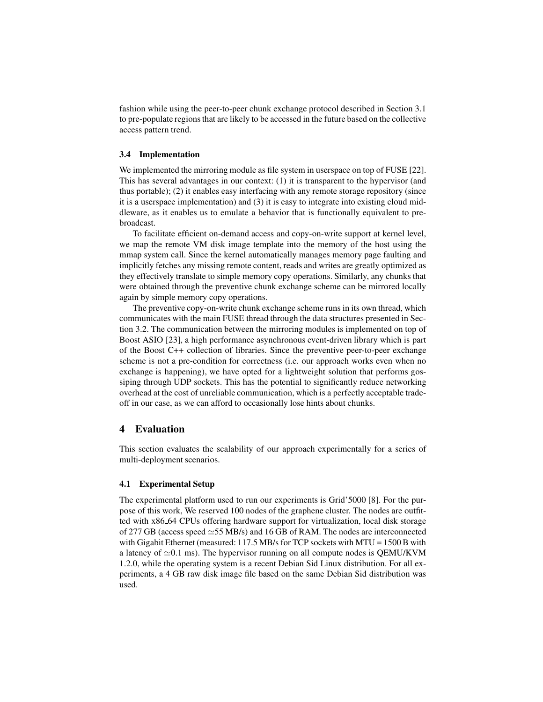fashion while using the peer-to-peer chunk exchange protocol described in Section 3.1 to pre-populate regions that are likely to be accessed in the future based on the collective access pattern trend.

#### 3.4 Implementation

We implemented the mirroring module as file system in userspace on top of FUSE [22]. This has several advantages in our context: (1) it is transparent to the hypervisor (and thus portable); (2) it enables easy interfacing with any remote storage repository (since it is a userspace implementation) and (3) it is easy to integrate into existing cloud middleware, as it enables us to emulate a behavior that is functionally equivalent to prebroadcast.

To facilitate efficient on-demand access and copy-on-write support at kernel level, we map the remote VM disk image template into the memory of the host using the mmap system call. Since the kernel automatically manages memory page faulting and implicitly fetches any missing remote content, reads and writes are greatly optimized as they effectively translate to simple memory copy operations. Similarly, any chunks that were obtained through the preventive chunk exchange scheme can be mirrored locally again by simple memory copy operations.

The preventive copy-on-write chunk exchange scheme runs in its own thread, which communicates with the main FUSE thread through the data structures presented in Section 3.2. The communication between the mirroring modules is implemented on top of Boost ASIO [23], a high performance asynchronous event-driven library which is part of the Boost C++ collection of libraries. Since the preventive peer-to-peer exchange scheme is not a pre-condition for correctness (i.e. our approach works even when no exchange is happening), we have opted for a lightweight solution that performs gossiping through UDP sockets. This has the potential to significantly reduce networking overhead at the cost of unreliable communication, which is a perfectly acceptable tradeoff in our case, as we can afford to occasionally lose hints about chunks.

# 4 Evaluation

This section evaluates the scalability of our approach experimentally for a series of multi-deployment scenarios.

#### 4.1 Experimental Setup

The experimental platform used to run our experiments is Grid'5000 [8]. For the purpose of this work, We reserved 100 nodes of the graphene cluster. The nodes are outfitted with x86 64 CPUs offering hardware support for virtualization, local disk storage of 277 GB (access speed ≃55 MB/s) and 16 GB of RAM. The nodes are interconnected with Gigabit Ethernet (measured: 117.5 MB/s for TCP sockets with MTU = 1500 B with a latency of  $\simeq$ 0.1 ms). The hypervisor running on all compute nodes is QEMU/KVM 1.2.0, while the operating system is a recent Debian Sid Linux distribution. For all experiments, a 4 GB raw disk image file based on the same Debian Sid distribution was used.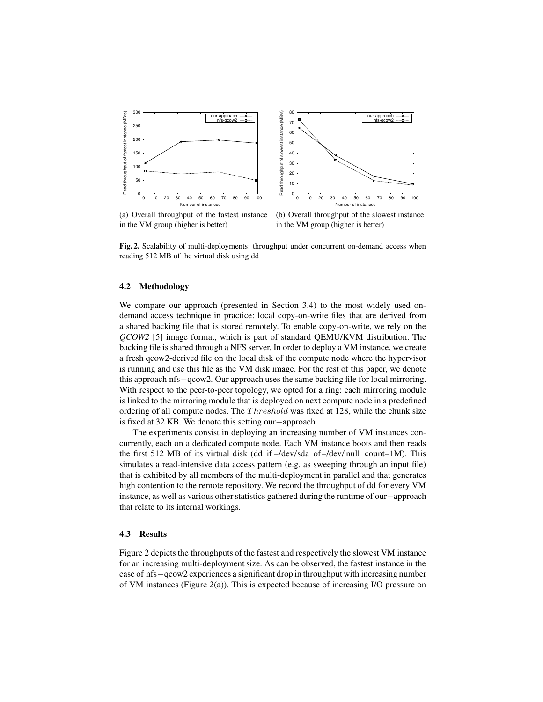

(a) Overall throughput of the fastest instance in the VM group (higher is better)

(b) Overall throughput of the slowest instance in the VM group (higher is better)

Fig. 2. Scalability of multi-deployments: throughput under concurrent on-demand access when reading 512 MB of the virtual disk using dd

### 4.2 Methodology

We compare our approach (presented in Section 3.4) to the most widely used ondemand access technique in practice: local copy-on-write files that are derived from a shared backing file that is stored remotely. To enable copy-on-write, we rely on the *QCOW2* [5] image format, which is part of standard QEMU/KVM distribution. The backing file is shared through a NFS server. In order to deploy a VM instance, we create a fresh qcow2-derived file on the local disk of the compute node where the hypervisor is running and use this file as the VM disk image. For the rest of this paper, we denote this approach nfs−qcow2. Our approach uses the same backing file for local mirroring. With respect to the peer-to-peer topology, we opted for a ring: each mirroring module is linked to the mirroring module that is deployed on next compute node in a predefined ordering of all compute nodes. The *Threshold* was fixed at 128, while the chunk size is fixed at 32 KB. We denote this setting our−approach.

The experiments consist in deploying an increasing number of VM instances concurrently, each on a dedicated compute node. Each VM instance boots and then reads the first 512 MB of its virtual disk (dd if  $=$ /dev/sda of  $=$ /dev/ null count=1M). This simulates a read-intensive data access pattern (e.g. as sweeping through an input file) that is exhibited by all members of the multi-deployment in parallel and that generates high contention to the remote repository. We record the throughput of dd for every VM instance, as well as various other statistics gathered during the runtime of our−approach that relate to its internal workings.

#### 4.3 Results

Figure 2 depicts the throughputs of the fastest and respectively the slowest VM instance for an increasing multi-deployment size. As can be observed, the fastest instance in the case of nfs−qcow2 experiences a significant drop in throughput with increasing number of VM instances (Figure 2(a)). This is expected because of increasing I/O pressure on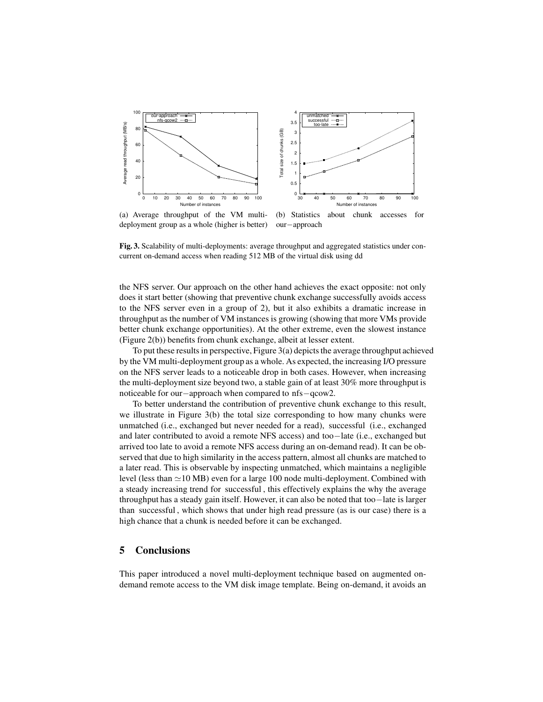

(a) Average throughput of the VM multideployment group as a whole (higher is better)

(b) Statistics about chunk accesses for our−approach

Fig. 3. Scalability of multi-deployments: average throughput and aggregated statistics under concurrent on-demand access when reading 512 MB of the virtual disk using dd

the NFS server. Our approach on the other hand achieves the exact opposite: not only does it start better (showing that preventive chunk exchange successfully avoids access to the NFS server even in a group of 2), but it also exhibits a dramatic increase in throughput as the number of VM instances is growing (showing that more VMs provide better chunk exchange opportunities). At the other extreme, even the slowest instance (Figure 2(b)) benefits from chunk exchange, albeit at lesser extent.

To put these results in perspective, Figure 3(a) depicts the average throughput achieved by the VM multi-deployment group as a whole. As expected, the increasing I/O pressure on the NFS server leads to a noticeable drop in both cases. However, when increasing the multi-deployment size beyond two, a stable gain of at least 30% more throughput is noticeable for our−approach when compared to nfs−qcow2.

To better understand the contribution of preventive chunk exchange to this result, we illustrate in Figure 3(b) the total size corresponding to how many chunks were unmatched (i.e., exchanged but never needed for a read), successful (i.e., exchanged and later contributed to avoid a remote NFS access) and too−late (i.e., exchanged but arrived too late to avoid a remote NFS access during an on-demand read). It can be observed that due to high similarity in the access pattern, almost all chunks are matched to a later read. This is observable by inspecting unmatched, which maintains a negligible level (less than ≃10 MB) even for a large 100 node multi-deployment. Combined with a steady increasing trend for successful , this effectively explains the why the average throughput has a steady gain itself. However, it can also be noted that too−late is larger than successful , which shows that under high read pressure (as is our case) there is a high chance that a chunk is needed before it can be exchanged.

# 5 Conclusions

This paper introduced a novel multi-deployment technique based on augmented ondemand remote access to the VM disk image template. Being on-demand, it avoids an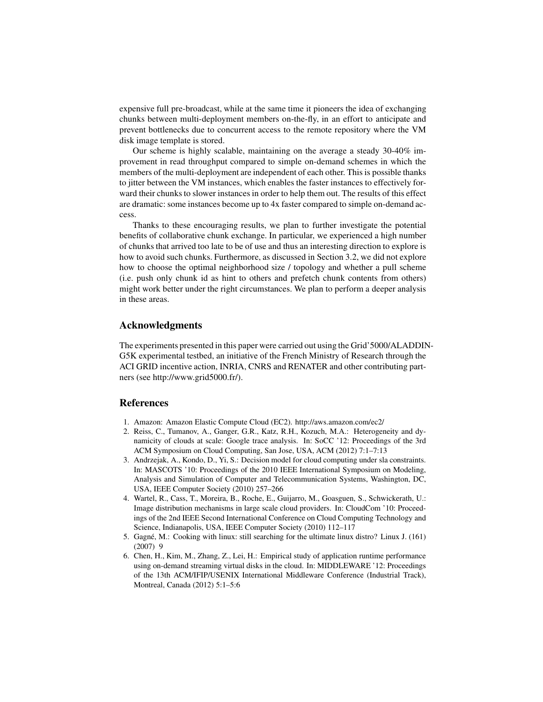expensive full pre-broadcast, while at the same time it pioneers the idea of exchanging chunks between multi-deployment members on-the-fly, in an effort to anticipate and prevent bottlenecks due to concurrent access to the remote repository where the VM disk image template is stored.

Our scheme is highly scalable, maintaining on the average a steady 30-40% improvement in read throughput compared to simple on-demand schemes in which the members of the multi-deployment are independent of each other. This is possible thanks to jitter between the VM instances, which enables the faster instances to effectively forward their chunks to slower instances in order to help them out. The results of this effect are dramatic: some instances become up to 4x faster compared to simple on-demand access.

Thanks to these encouraging results, we plan to further investigate the potential benefits of collaborative chunk exchange. In particular, we experienced a high number of chunks that arrived too late to be of use and thus an interesting direction to explore is how to avoid such chunks. Furthermore, as discussed in Section 3.2, we did not explore how to choose the optimal neighborhood size / topology and whether a pull scheme (i.e. push only chunk id as hint to others and prefetch chunk contents from others) might work better under the right circumstances. We plan to perform a deeper analysis in these areas.

# Acknowledgments

The experiments presented in this paper were carried out using the Grid'5000/ALADDIN-G5K experimental testbed, an initiative of the French Ministry of Research through the ACI GRID incentive action, INRIA, CNRS and RENATER and other contributing partners (see http://www.grid5000.fr/).

### References

- 1. Amazon: Amazon Elastic Compute Cloud (EC2). http://aws.amazon.com/ec2/
- 2. Reiss, C., Tumanov, A., Ganger, G.R., Katz, R.H., Kozuch, M.A.: Heterogeneity and dynamicity of clouds at scale: Google trace analysis. In: SoCC '12: Proceedings of the 3rd ACM Symposium on Cloud Computing, San Jose, USA, ACM (2012) 7:1–7:13
- 3. Andrzejak, A., Kondo, D., Yi, S.: Decision model for cloud computing under sla constraints. In: MASCOTS '10: Proceedings of the 2010 IEEE International Symposium on Modeling, Analysis and Simulation of Computer and Telecommunication Systems, Washington, DC, USA, IEEE Computer Society (2010) 257–266
- 4. Wartel, R., Cass, T., Moreira, B., Roche, E., Guijarro, M., Goasguen, S., Schwickerath, U.: Image distribution mechanisms in large scale cloud providers. In: CloudCom '10: Proceedings of the 2nd IEEE Second International Conference on Cloud Computing Technology and Science, Indianapolis, USA, IEEE Computer Society (2010) 112–117
- 5. Gagné, M.: Cooking with linux: still searching for the ultimate linux distro? Linux J. (161) (2007) 9
- 6. Chen, H., Kim, M., Zhang, Z., Lei, H.: Empirical study of application runtime performance using on-demand streaming virtual disks in the cloud. In: MIDDLEWARE '12: Proceedings of the 13th ACM/IFIP/USENIX International Middleware Conference (Industrial Track), Montreal, Canada (2012) 5:1–5:6